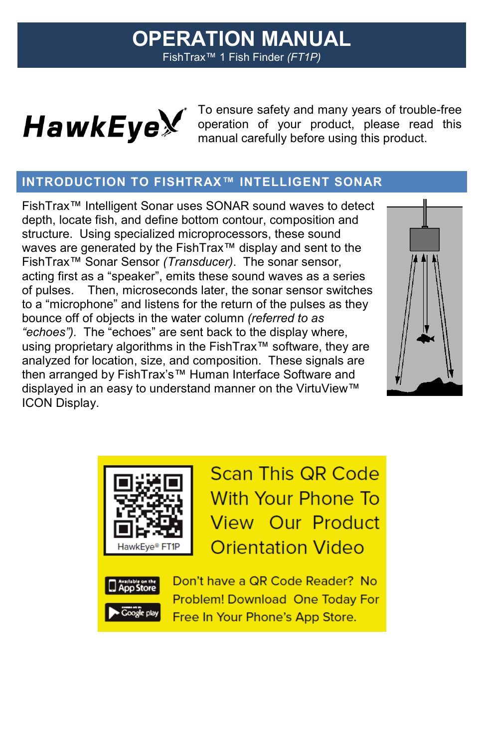# **OPERATION MANUAL** FishTrax™ 1 Fish Finder *(FT1P)*



Model No. **D10D**

To ensure safety and many years of trouble-free operation of your product, please read this manual carefully before using this product.

## **INTRODUCTION TO FISHTRAX™ INTELLIGENT SONAR**

FishTrax™ Intelligent Sonar uses SONAR sound waves to detect depth, locate fish, and define bottom contour, composition and structure. Using specialized microprocessors, these sound waves are generated by the FishTrax™ display and sent to the FishTrax™ Sonar Sensor *(Transducer)*. The sonar sensor, acting first as a "speaker", emits these sound waves as a series of pulses. Then, microseconds later, the sonar sensor switches to a "microphone" and listens for the return of the pulses as they bounce off of objects in the water column *(referred to as "echoes").* The "echoes" are sent back to the display where, using proprietary algorithms in the FishTrax™ software, they are analyzed for location, size, and composition. These signals are then arranged by FishTrax's™ Human Interface Software and displayed in an easy to understand manner on the VirtuView™ ICON Display.





**Scan This QR Code With Your Phone To View Our Product Orientation Video** 



Don't have a QR Code Reader? No **Problem! Download One Today For** Free In Your Phone's App Store.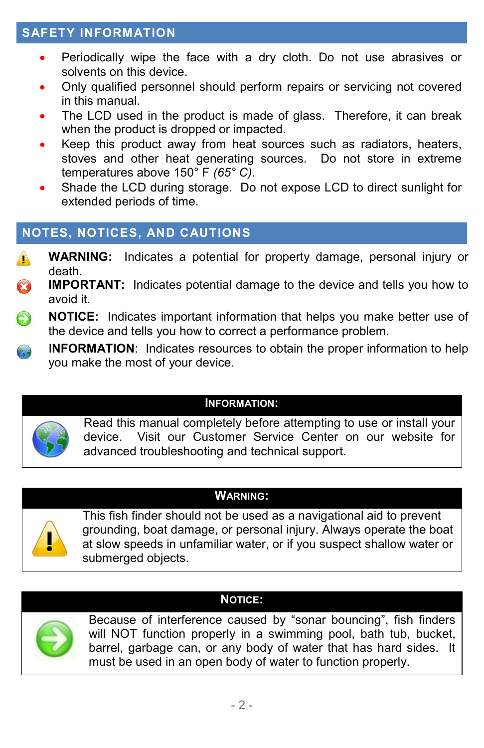## **SAFETY INFORMATION**

- Periodically wipe the face with a dry cloth. Do not use abrasives or solvents on this device.
- Only qualified personnel should perform repairs or servicing not covered in this manual.
- The LCD used in the product is made of glass. Therefore, it can break when the product is dropped or impacted.
- Keep this product away from heat sources such as radiators, heaters, stoves and other heat generating sources. Do not store in extreme temperatures above 150° F *(65° C)*.
- Shade the LCD during storage. Do not expose LCD to direct sunlight for extended periods of time.

# **NOTES, NOTICES, AND CAUTIONS**

- **WARNING:** Indicates a potential for property damage, personal injury or  $\mathbf{A}$ death.
- B **IMPORTANT:** Indicates potential damage to the device and tells you how to avoid it.
- **NOTICE:** Indicates important information that helps you make better use of the device and tells you how to correct a performance problem.
- I**NFORMATION**: Indicates resources to obtain the proper information to help you make the most of your device.

#### **INFORMATION:**



Read this manual completely before attempting to use or install your device. Visit our Customer Service Center on our website for advanced troubleshooting and technical support.

#### **WARNING:**



This fish finder should not be used as a navigational aid to prevent grounding, boat damage, or personal injury. Always operate the boat at slow speeds in unfamiliar water, or if you suspect shallow water or submerged objects.

#### **NOTICE:**



Because of interference caused by "sonar bouncing", fish finders will NOT function properly in a swimming pool, bath tub, bucket, barrel, garbage can, or any body of water that has hard sides. It must be used in an open body of water to function properly.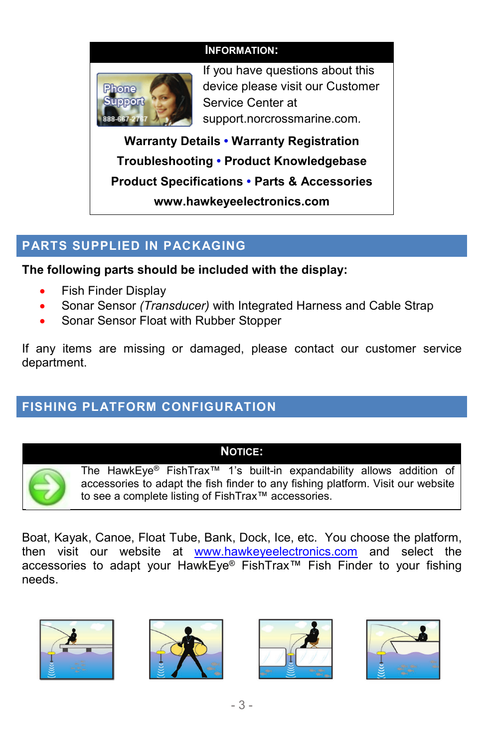#### **INFORMATION:**



If you have questions about this device please visit our Customer Service Center at support.norcrossmarine.com*.*

**Warranty Details • Warranty Registration Troubleshooting • Product Knowledgebase Product Specifications • Parts & Accessories www.hawkeyeelectronics.com**

## **PARTS SUPPLIED IN PACKAGING**

**The following parts should be included with the display:**

- Fish Finder Display
- Sonar Sensor *(Transducer)* with Integrated Harness and Cable Strap
- Sonar Sensor Float with Rubber Stopper

If any items are missing or damaged, please contact our customer service department.

# **FISHING PLATFORM CONFIGURATION**

#### **NOTICE:**



The HawkEye® FishTrax™ 1's built-in expandability allows addition of accessories to adapt the fish finder to any fishing platform. Visit our website to see a complete listing of FishTrax™ accessories.

Boat, Kayak, Canoe, Float Tube, Bank, Dock, Ice, etc. You choose the platform, then visit our website at [www.hawkeyeelectronics.com](http://www.hawkeyeelectronics.com/) and select the accessories to adapt your HawkEye® FishTrax™ Fish Finder to your fishing needs.







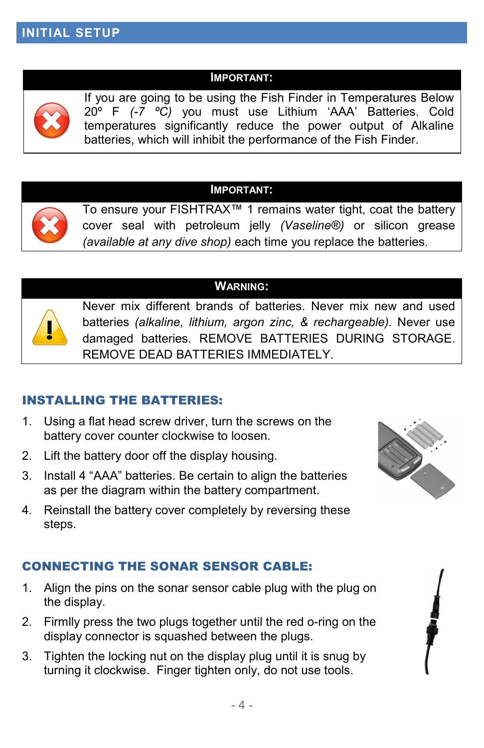#### **IMPORTANT:**



If you are going to be using the Fish Finder in Temperatures Below 20º F *(-7 ºC)* you must use Lithium 'AAA' Batteries. Cold temperatures significantly reduce the power output of Alkaline batteries, which will inhibit the performance of the Fish Finder.

#### **IMPORTANT:**



To ensure your FISHTRAX™ 1 remains water tight, coat the battery cover seal with petroleum jelly *(Vaseline®)* or silicon grease *(available at any dive shop)* each time you replace the batteries.

### **WARNING:**



Never mix different brands of batteries. Never mix new and used batteries *(alkaline, lithium, argon zinc, & rechargeable).* Never use damaged batteries. REMOVE BATTERIES DURING STORAGE. REMOVE DEAD BATTERIES IMMEDIATELY.

#### INSTALLING THE BATTERIES:

- 1. Using a flat head screw driver, turn the screws on the battery cover counter clockwise to loosen.
- 2. Lift the battery door off the display housing.
- 3. Install 4 "AAA" batteries. Be certain to align the batteries as per the diagram within the battery compartment.
- 4. Reinstall the battery cover completely by reversing these steps.

### CONNECTING THE SONAR SENSOR CABLE:

- 1. Align the pins on the sonar sensor cable plug with the plug on the display.
- 2. Firmlly press the two plugs together until the red o-ring on the display connector is squashed between the plugs.
- 3. Tighten the locking nut on the display plug until it is snug by turning it clockwise. Finger tighten only, do not use tools.

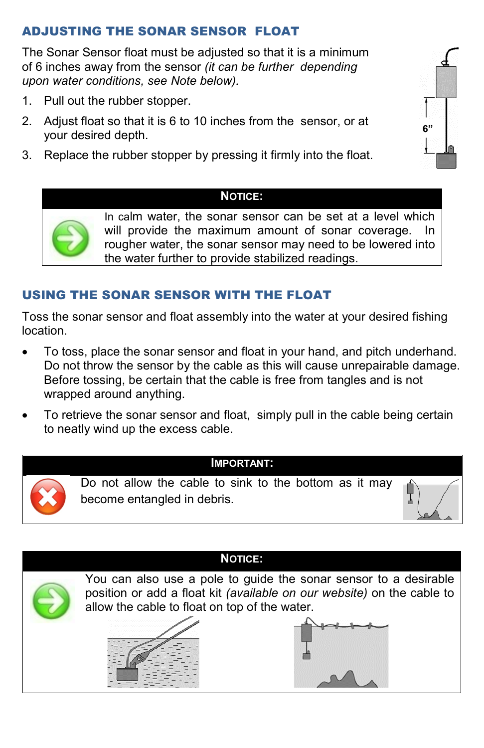### ADJUSTING THE SONAR SENSOR FLOAT

The Sonar Sensor float must be adjusted so that it is a minimum of 6 inches away from the sensor *(it can be further depending upon water conditions, see Note below).*

- 1. Pull out the rubber stopper.
- 2. Adjust float so that it is 6 to 10 inches from the sensor, or at your desired depth.
- 3. Replace the rubber stopper by pressing it firmly into the float.



#### **NOTICE:**



In calm water, the sonar sensor can be set at a level which will provide the maximum amount of sonar coverage. In rougher water, the sonar sensor may need to be lowered into the water further to provide stabilized readings.

### USING THE SONAR SENSOR WITH THE FLOAT

Toss the sonar sensor and float assembly into the water at your desired fishing location.

- To toss, place the sonar sensor and float in your hand, and pitch underhand. Do not throw the sensor by the cable as this will cause unrepairable damage. Before tossing, be certain that the cable is free from tangles and is not wrapped around anything.
- To retrieve the sonar sensor and float, simply pull in the cable being certain to neatly wind up the excess cable.



Do not allow the cable to sink to the bottom as it may become entangled in debris.

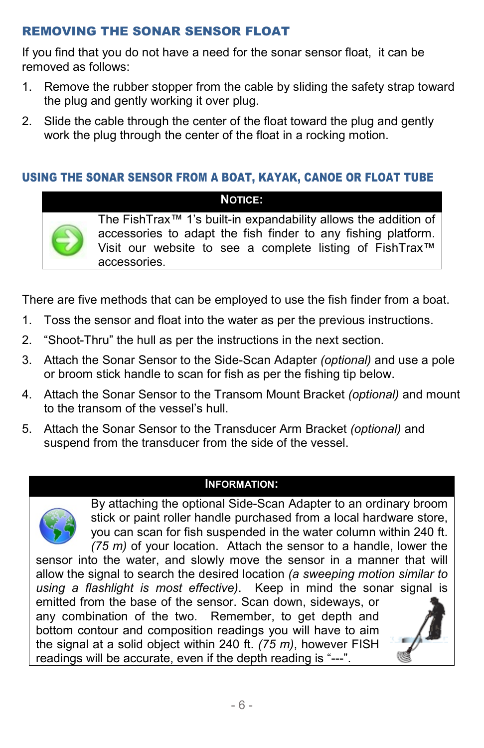### REMOVING THE SONAR SENSOR FLOAT

If you find that you do not have a need for the sonar sensor float, it can be removed as follows:

- 1. Remove the rubber stopper from the cable by sliding the safety strap toward the plug and gently working it over plug.
- 2. Slide the cable through the center of the float toward the plug and gently work the plug through the center of the float in a rocking motion.

### USING THE SONAR SENSOR FROM A BOAT, KAYAK, CANOE OR FLOAT TUBE

### **NOTICE:**

The FishTrax™ 1's built-in expandability allows the addition of accessories to adapt the fish finder to any fishing platform. Visit our website to see a complete listing of FishTrax™ accessories.

There are five methods that can be employed to use the fish finder from a boat.

- 1. Toss the sensor and float into the water as per the previous instructions.
- 2. "Shoot-Thru" the hull as per the instructions in the next section.
- 3. Attach the Sonar Sensor to the Side-Scan Adapter *(optional)* and use a pole or broom stick handle to scan for fish as per the fishing tip below.
- 4. Attach the Sonar Sensor to the Transom Mount Bracket *(optional)* and mount to the transom of the vessel's hull.
- 5. Attach the Sonar Sensor to the Transducer Arm Bracket *(optional)* and suspend from the transducer from the side of the vessel.

#### **INFORMATION:**



By attaching the optional Side-Scan Adapter to an ordinary broom stick or paint roller handle purchased from a local hardware store, you can scan for fish suspended in the water column within 240 ft. *(75 m)* of your location. Attach the sensor to a handle, lower the

sensor into the water, and slowly move the sensor in a manner that will allow the signal to search the desired location *(a sweeping motion similar to using a flashlight is most effective)*. Keep in mind the sonar signal is

emitted from the base of the sensor. Scan down, sideways, or any combination of the two. Remember, to get depth and bottom contour and composition readings you will have to aim the signal at a solid object within 240 ft. *(75 m)*, however FISH readings will be accurate, even if the depth reading is "---".

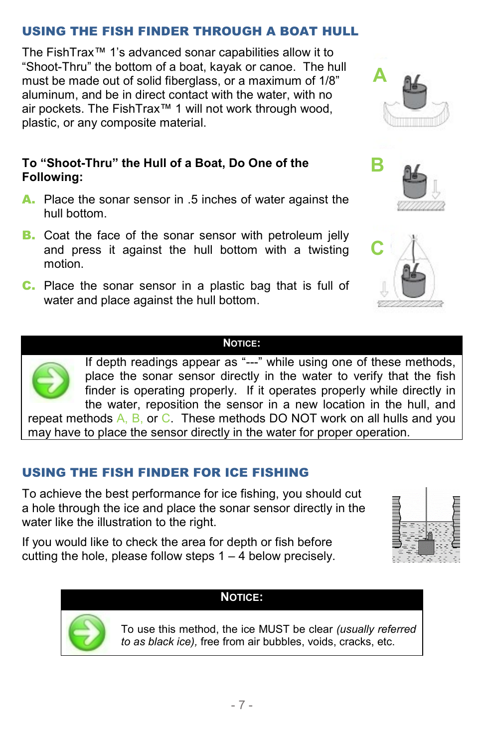## USING THE FISH FINDER THROUGH A BOAT HULL

The FishTrax™ 1's advanced sonar capabilities allow it to "Shoot-Thru" the bottom of a boat, kayak or canoe. The hull must be made out of solid fiberglass, or a maximum of 1/8" aluminum, and be in direct contact with the water, with no air pockets. The FishTrax™ 1 will not work through wood, plastic, or any composite material.

#### **To "Shoot-Thru" the Hull of a Boat, Do One of the Following:**

- A. Place the sonar sensor in .5 inches of water against the hull bottom.
- **B.** Coat the face of the sonar sensor with petroleum jelly and press it against the hull bottom with a twisting motion.
- C. Place the sonar sensor in a plastic bag that is full of water and place against the hull bottom.







#### **NOTICE:**

If depth readings appear as "---" while using one of these methods, place the sonar sensor directly in the water to verify that the fish finder is operating properly. If it operates properly while directly in the water, reposition the sensor in a new location in the hull, and repeat methods  $A$ ,  $B$ , or  $C$ . These methods DO NOT work on all hulls and you

may have to place the sensor directly in the water for proper operation.

## USING THE FISH FINDER FOR ICE FISHING

To achieve the best performance for ice fishing, you should cut a hole through the ice and place the sonar sensor directly in the water like the illustration to the right.

If you would like to check the area for depth or fish before cutting the hole, please follow steps  $1 - 4$  below precisely.





**NOTICE:**

To use this method, the ice MUST be clear *(usually referred to as black ice),* free from air bubbles, voids, cracks, etc.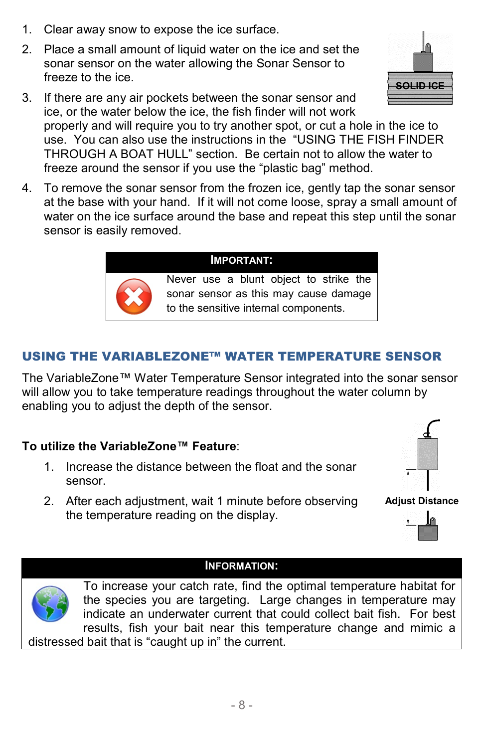- 1. Clear away snow to expose the ice surface.
- 2. Place a small amount of liquid water on the ice and set the sonar sensor on the water allowing the Sonar Sensor to freeze to the ice.
- 3. If there are any air pockets between the sonar sensor and ice, or the water below the ice, the fish finder will not work properly and will require you to try another spot, or cut a hole in the ice to use. You can also use the instructions in the "USING THE FISH FINDER THROUGH A BOAT HULL" section. Be certain not to allow the water to freeze around the sensor if you use the "plastic bag" method.
- 4. To remove the sonar sensor from the frozen ice, gently tap the sonar sensor at the base with your hand. If it will not come loose, spray a small amount of water on the ice surface around the base and repeat this step until the sonar sensor is easily removed.

#### **IMPORTANT:**

Never use a blunt object to strike the sonar sensor as this may cause damage to the sensitive internal components.

## USING THE VARIABLEZONE™ WATER TEMPERATURE SENSOR

The VariableZone™ Water Temperature Sensor integrated into the sonar sensor will allow you to take temperature readings throughout the water column by enabling you to adjust the depth of the sensor.

#### **To utilize the VariableZone™ Feature**:

- 1. Increase the distance between the float and the sonar sensor.
- 2. After each adjustment, wait 1 minute before observing the temperature reading on the display.

#### **INFORMATION:**

To increase your catch rate, find the optimal temperature habitat for the species you are targeting. Large changes in temperature may indicate an underwater current that could collect bait fish. For best results, fish your bait near this temperature change and mimic a distressed bait that is "caught up in" the current.









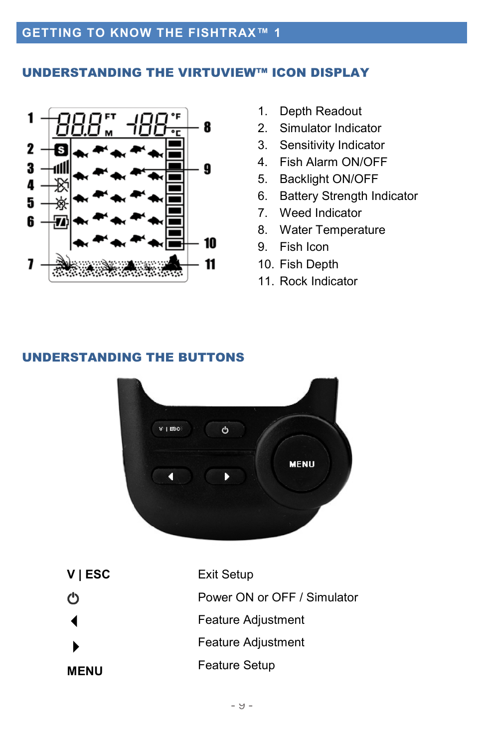#### UNDERSTANDING THE VIRTUVIEW™ ICON DISPLAY



- 1. Depth Readout
- 2. Simulator Indicator
- 3. Sensitivity Indicator
- 4. Fish Alarm ON/OFF
- 5. Backlight ON/OFF
- 6. Battery Strength Indicator
- 7. Weed Indicator
- 8. Water Temperature
- 9. Fish Icon
- 10. Fish Depth
- 11. Rock Indicator

#### UNDERSTANDING THE BUTTONS



| $V$   ESC   | <b>Exit Setup</b>           |
|-------------|-----------------------------|
|             | Power ON or OFF / Simulator |
|             | Feature Adjustment          |
|             | Feature Adjustment          |
| <b>MENU</b> | <b>Feature Setup</b>        |
|             |                             |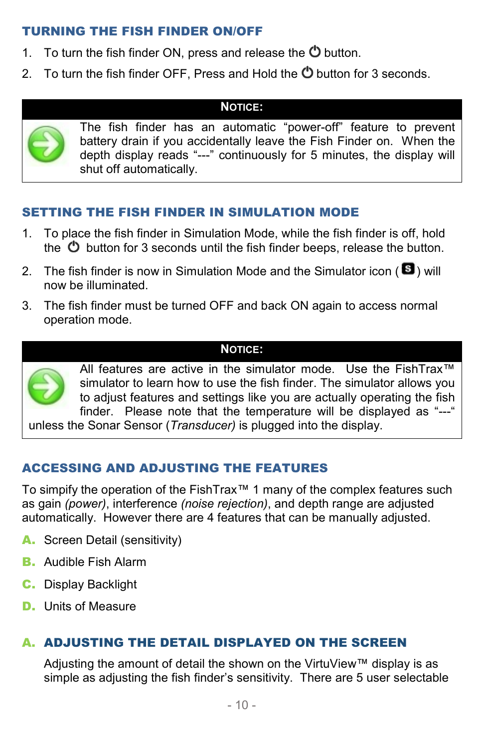### TURNING THE FISH FINDER ON/OFF

- 1. To turn the fish finder ON, press and release the  $\Phi$  button.
- 2. To turn the fish finder OFF, Press and Hold the  $\ddot{\mathbf{C}}$  button for 3 seconds.

#### **NOTICE:**



The fish finder has an automatic "power-off" feature to prevent battery drain if you accidentally leave the Fish Finder on. When the depth display reads "---" continuously for 5 minutes, the display will shut off automatically.

### SETTING THE FISH FINDER IN SIMULATION MODE

- 1. To place the fish finder in Simulation Mode, while the fish finder is off, hold the  $\bullet$  button for 3 seconds until the fish finder beeps, release the button.
- 2. The fish finder is now in Simulation Mode and the Simulator icon ( $\blacksquare$ ) will now be illuminated.
- 3. The fish finder must be turned OFF and back ON again to access normal operation mode.

### **NOTICE:**



All features are active in the simulator mode. Use the FishTrax™ simulator to learn how to use the fish finder. The simulator allows you to adjust features and settings like you are actually operating the fish finder. Please note that the temperature will be displayed as "---" unless the Sonar Sensor (*Transducer)* is plugged into the display.

### ACCESSING AND ADJUSTING THE FEATURES

To simpify the operation of the FishTrax™ 1 many of the complex features such as gain *(power)*, interference *(noise rejection)*, and depth range are adjusted automatically. However there are 4 features that can be manually adjusted.

- A. Screen Detail (sensitivity)
- **B.** Audible Fish Alarm
- C. Display Backlight
- D. Units of Measure

### A. ADJUSTING THE DETAIL DISPLAYED ON THE SCREEN

Adjusting the amount of detail the shown on the VirtuView™ display is as simple as adjusting the fish finder's sensitivity. There are 5 user selectable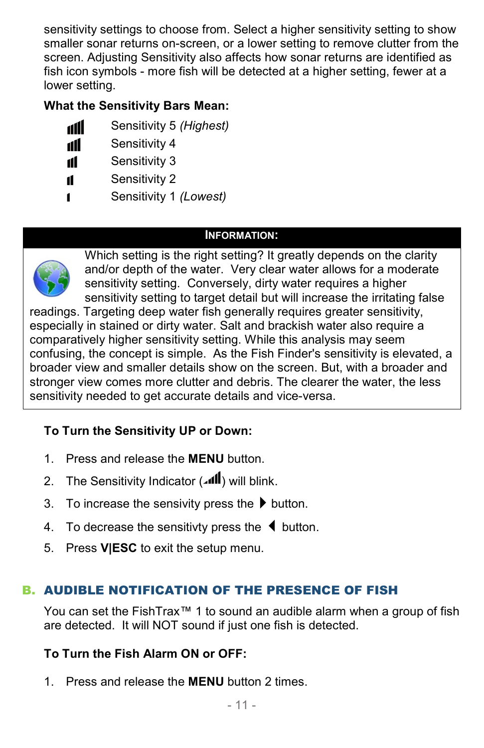sensitivity settings to choose from. Select a higher sensitivity setting to show smaller sonar returns on-screen, or a lower setting to remove clutter from the screen. Adjusting Sensitivity also affects how sonar returns are identified as fish icon symbols - more fish will be detected at a higher setting, fewer at a lower setting.

## **What the Sensitivity Bars Mean:**

- dill Sensitivity 5 *(Highest)*
- Sensitivity 4 dl
- Sensitivity 3 11
- Sensitivity 2 11
- Sensitivity 1 *(Lowest)* 1

### **INFORMATION:**



Which setting is the right setting? It greatly depends on the clarity and/or depth of the water. Very clear water allows for a moderate sensitivity setting. Conversely, dirty water requires a higher sensitivity setting to target detail but will increase the irritating false

readings. Targeting deep water fish generally requires greater sensitivity, especially in stained or dirty water. Salt and brackish water also require a comparatively higher sensitivity setting. While this analysis may seem confusing, the concept is simple. As the Fish Finder's sensitivity is elevated, a broader view and smaller details show on the screen. But, with a broader and stronger view comes more clutter and debris. The clearer the water, the less sensitivity needed to get accurate details and vice-versa.

## **To Turn the Sensitivity UP or Down:**

- 1. Press and release the **MENU** button.
- 2. The Sensitivity Indicator ( ) will blink.
- 3. To increase the sensivity press the  $\blacktriangleright$  button.
- 4. To decrease the sensitivty press the  $\blacklozenge$  button.
- 5. Press **V|ESC** to exit the setup menu.

## B. AUDIBLE NOTIFICATION OF THE PRESENCE OF FISH

You can set the FishTrax™ 1 to sound an audible alarm when a group of fish are detected. It will NOT sound if just one fish is detected.

### **To Turn the Fish Alarm ON or OFF:**

1. Press and release the **MENU** button 2 times.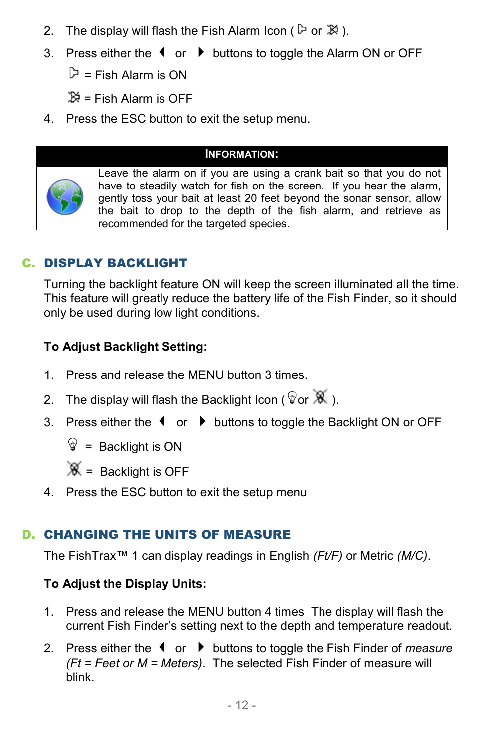- 2. The display will flash the Fish Alarm Icon ( $\triangleright$  or  $\mathbb{X}$ ).
- 3. Press either the  $\blacklozenge \blacklozenge$  buttons to toggle the Alarm ON or OFF

 $\mathbb{P}$  = Fish Alarm is ON

 $\aleph =$  Fish Alarm is OFF

4. Press the ESC button to exit the setup menu.

#### **INFORMATION:**



Leave the alarm on if you are using a crank bait so that you do not have to steadily watch for fish on the screen. If you hear the alarm, gently toss your bait at least 20 feet beyond the sonar sensor, allow the bait to drop to the depth of the fish alarm, and retrieve as recommended for the targeted species.

## C. DISPLAY BACKLIGHT

Turning the backlight feature ON will keep the screen illuminated all the time. This feature will greatly reduce the battery life of the Fish Finder, so it should only be used during low light conditions.

#### **To Adjust Backlight Setting:**

- 1. Press and release the MENU button 3 times.
- 2. The display will flash the Backlight Icon ( $\mathscr{C}$  or  $\mathscr{K}$  ).
- 3. Press either the  $\triangleleft$  or  $\triangleright$  buttons to toggle the Backlight ON or OFF
	- $\mathcal{D}$  = Backlight is ON

 $\mathscr{K}$  = Backlight is OFF

4. Press the ESC button to exit the setup menu

### D. CHANGING THE UNITS OF MEASURE

The FishTrax™ 1 can display readings in English *(Ft/F)* or Metric *(M/C)*.

#### **To Adjust the Display Units:**

- 1. Press and release the MENU button 4 times The display will flash the current Fish Finder's setting next to the depth and temperature readout.
- 2. Press either the ◀ or ▶ buttons to toggle the Fish Finder of *measure (Ft = Feet or M = Meters)*. The selected Fish Finder of measure will blink.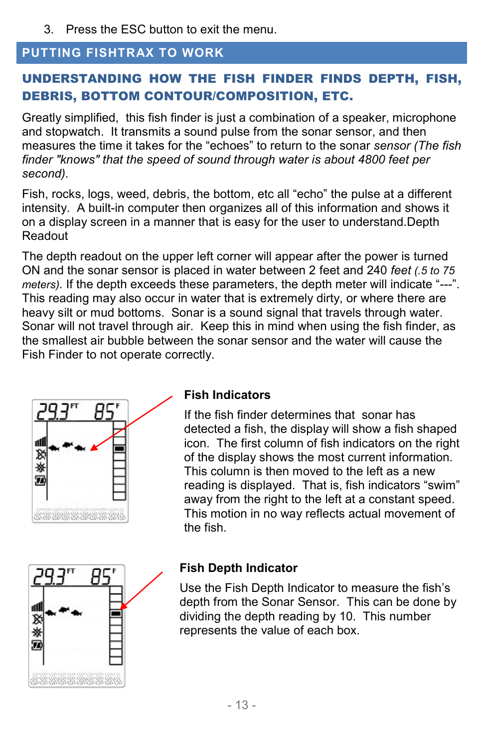3. Press the ESC button to exit the menu.

#### **PUTTING FISHTRAX TO WORK**

## UNDERSTANDING HOW THE FISH FINDER FINDS DEPTH, FISH, DEBRIS, BOTTOM CONTOUR/COMPOSITION, ETC.

Greatly simplified, this fish finder is just a combination of a speaker, microphone and stopwatch. It transmits a sound pulse from the sonar sensor, and then measures the time it takes for the "echoes" to return to the sonar *sensor (The fish finder "knows" that the speed of sound through water is about 4800 feet per second).* 

Fish, rocks, logs, weed, debris, the bottom, etc all "echo" the pulse at a different intensity. A built-in computer then organizes all of this information and shows it on a display screen in a manner that is easy for the user to understand.Depth Readout

The depth readout on the upper left corner will appear after the power is turned ON and the sonar sensor is placed in water between 2 feet and 240 *feet (.5 to 75 meters).* If the depth exceeds these parameters, the depth meter will indicate "---". This reading may also occur in water that is extremely dirty, or where there are heavy silt or mud bottoms. Sonar is a sound signal that travels through water. Sonar will not travel through air. Keep this in mind when using the fish finder, as the smallest air bubble between the sonar sensor and the water will cause the Fish Finder to not operate correctly.



### **Fish Indicators**

If the fish finder determines that sonar has detected a fish, the display will show a fish shaped icon. The first column of fish indicators on the right of the display shows the most current information. This column is then moved to the left as a new reading is displayed. That is, fish indicators "swim" away from the right to the left at a constant speed. This motion in no way reflects actual movement of the fish.



### **Fish Depth Indicator**

Use the Fish Depth Indicator to measure the fish's depth from the Sonar Sensor. This can be done by dividing the depth reading by 10. This number represents the value of each box.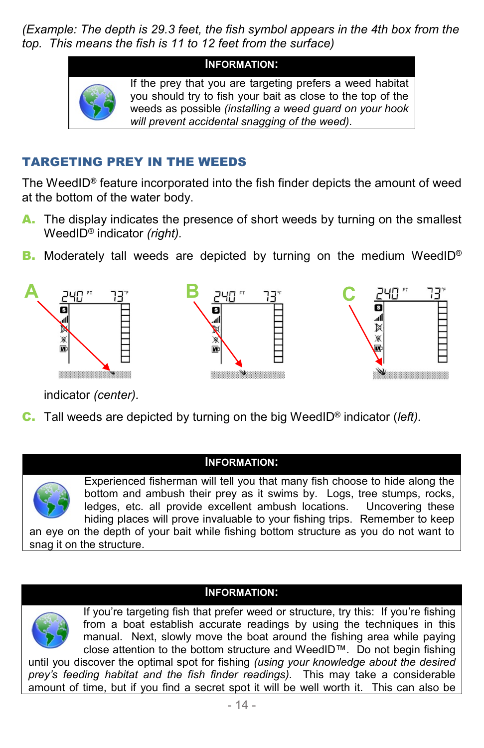*(Example: The depth is 29.3 feet, the fish symbol appears in the 4th box from the top. This means the fish is 11 to 12 feet from the surface)*



### TARGETING PREY IN THE WEEDS

The WeedID® feature incorporated into the fish finder depicts the amount of weed at the bottom of the water body.

- A. The display indicates the presence of short weeds by turning on the smallest WeedID® indicator *(right).*
- B. Moderately tall weeds are depicted by turning on the medium WeedID®



indicator *(center).*

C. Tall weeds are depicted by turning on the big WeedID® indicator (*left).*

#### **INFORMATION:**



Experienced fisherman will tell you that many fish choose to hide along the bottom and ambush their prey as it swims by. Logs, tree stumps, rocks, ledges, etc. all provide excellent ambush locations. Uncovering these hiding places will prove invaluable to your fishing trips. Remember to keep an eye on the depth of your bait while fishing bottom structure as you do not want to snag it on the structure.

#### **INFORMATION:**



If you're targeting fish that prefer weed or structure, try this: If you're fishing from a boat establish accurate readings by using the techniques in this manual. Next, slowly move the boat around the fishing area while paying close attention to the bottom structure and WeedID™. Do not begin fishing

until you discover the optimal spot for fishing *(using your knowledge about the desired prey's feeding habitat and the fish finder readings).* This may take a considerable amount of time, but if you find a secret spot it will be well worth it. This can also be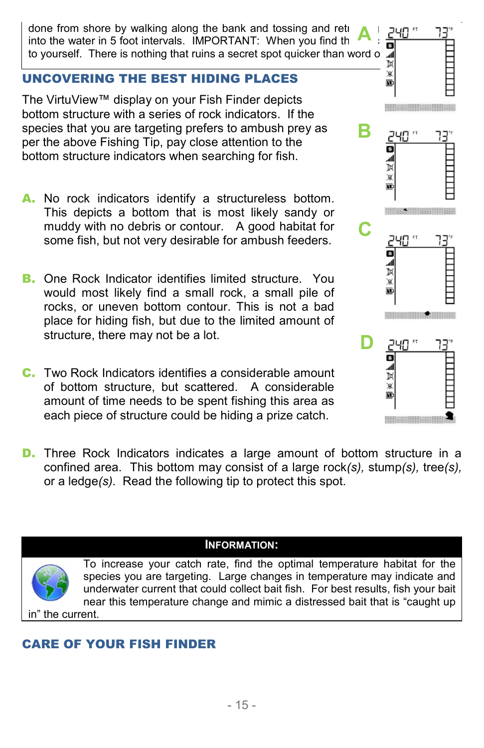done from shore by walking along the bank and tossing and reti into the water in 5 foot intervals. IMPORTANT: When you find th to yourself. There is nothing that ruins a secret spot quicker than word o  $\frac{d\mathbf{d}}{|\mathbf{X}|}$ **A**

# UNCOVERING THE BEST HIDING PLACES

The VirtuView™ display on your Fish Finder depicts bottom structure with a series of rock indicators. If the species that you are targeting prefers to ambush prey as per the above Fishing Tip, pay close attention to the bottom structure indicators when searching for fish.

- A. No rock indicators identify a structureless bottom. This depicts a bottom that is most likely sandy or muddy with no debris or contour. A good habitat for some fish, but not very desirable for ambush feeders.
- B. One Rock Indicator identifies limited structure. You would most likely find a small rock, a small pile of rocks, or uneven bottom contour. This is not a bad place for hiding fish, but due to the limited amount of structure, there may not be a lot.
- C. Two Rock Indicators identifies a considerable amount of bottom structure, but scattered. A considerable amount of time needs to be spent fishing this area as each piece of structure could be hiding a prize catch.



D. Three Rock Indicators indicates a large amount of bottom structure in a confined area. This bottom may consist of a large rock*(s),* stump*(s),* tree*(s),* or a ledge*(s).* Read the following tip to protect this spot.



To increase your catch rate, find the optimal temperature habitat for the species you are targeting. Large changes in temperature may indicate and underwater current that could collect bait fish. For best results, fish your bait near this temperature change and mimic a distressed bait that is "caught up

in" the current.

# CARE OF YOUR FISH FINDER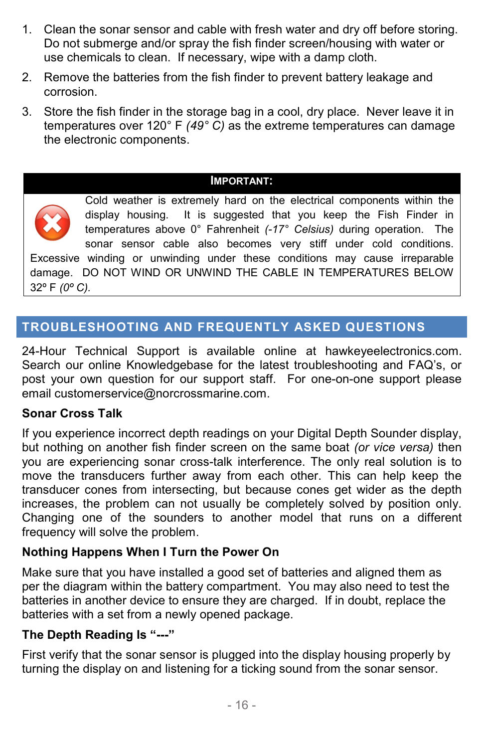- 1. Clean the sonar sensor and cable with fresh water and dry off before storing. Do not submerge and/or spray the fish finder screen/housing with water or use chemicals to clean. If necessary, wipe with a damp cloth.
- 2. Remove the batteries from the fish finder to prevent battery leakage and corrosion.
- 3. Store the fish finder in the storage bag in a cool, dry place. Never leave it in temperatures over 120° F *(49° C)* as the extreme temperatures can damage the electronic components.

#### **IMPORTANT:**



Cold weather is extremely hard on the electrical components within the display housing. It is suggested that you keep the Fish Finder in temperatures above 0° Fahrenheit *(-17° Celsius)* during operation. The sonar sensor cable also becomes very stiff under cold conditions. Excessive winding or unwinding under these conditions may cause irreparable damage. DO NOT WIND OR UNWIND THE CABLE IN TEMPERATURES BELOW 32º F *(0º C).*

## **TROUBLESHOOTING AND FREQUENTLY ASKED QUESTIONS**

24-Hour Technical Support is available online at hawkeyeelectronics.com. Search our online Knowledgebase for the latest troubleshooting and FAQ's, or post your own question for our support staff. For one-on-one support please email [customerservice@norcrossmarine.com.](mailto:customerservice@norcrossmarine.com)

#### **Sonar Cross Talk**

If you experience incorrect depth readings on your Digital Depth Sounder display, but nothing on another fish finder screen on the same boat *(or vice versa)* then you are experiencing sonar cross-talk interference. The only real solution is to move the transducers further away from each other. This can help keep the transducer cones from intersecting, but because cones get wider as the depth increases, the problem can not usually be completely solved by position only. Changing one of the sounders to another model that runs on a different frequency will solve the problem.

#### **Nothing Happens When I Turn the Power On**

Make sure that you have installed a good set of batteries and aligned them as per the diagram within the battery compartment. You may also need to test the batteries in another device to ensure they are charged. If in doubt, replace the batteries with a set from a newly opened package.

#### **The Depth Reading Is "---"**

First verify that the sonar sensor is plugged into the display housing properly by turning the display on and listening for a ticking sound from the sonar sensor.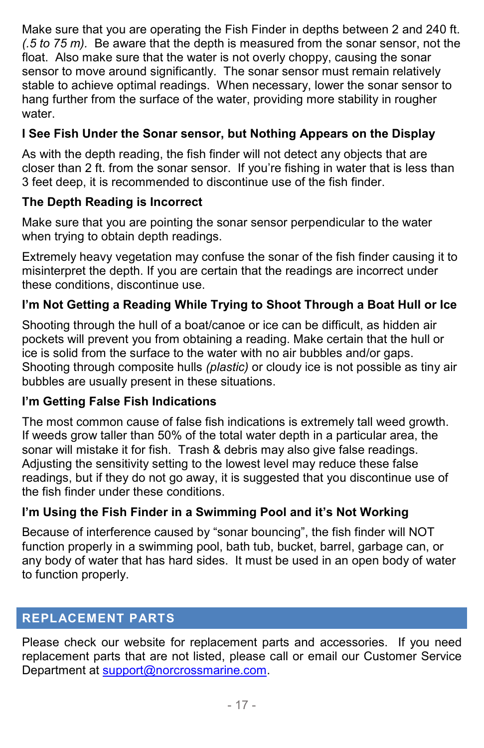Make sure that you are operating the Fish Finder in depths between 2 and 240 ft. *(.5 to 75 m).* Be aware that the depth is measured from the sonar sensor, not the float. Also make sure that the water is not overly choppy, causing the sonar sensor to move around significantly. The sonar sensor must remain relatively stable to achieve optimal readings. When necessary, lower the sonar sensor to hang further from the surface of the water, providing more stability in rougher water.

# **I See Fish Under the Sonar sensor, but Nothing Appears on the Display**

As with the depth reading, the fish finder will not detect any objects that are closer than 2 ft. from the sonar sensor. If you're fishing in water that is less than 3 feet deep, it is recommended to discontinue use of the fish finder.

## **The Depth Reading is Incorrect**

Make sure that you are pointing the sonar sensor perpendicular to the water when trying to obtain depth readings.

Extremely heavy vegetation may confuse the sonar of the fish finder causing it to misinterpret the depth. If you are certain that the readings are incorrect under these conditions, discontinue use.

## **I'm Not Getting a Reading While Trying to Shoot Through a Boat Hull or Ice**

Shooting through the hull of a boat/canoe or ice can be difficult, as hidden air pockets will prevent you from obtaining a reading. Make certain that the hull or ice is solid from the surface to the water with no air bubbles and/or gaps. Shooting through composite hulls *(plastic)* or cloudy ice is not possible as tiny air bubbles are usually present in these situations.

### **I'm Getting False Fish Indications**

The most common cause of false fish indications is extremely tall weed growth. If weeds grow taller than 50% of the total water depth in a particular area, the sonar will mistake it for fish. Trash & debris may also give false readings. Adjusting the sensitivity setting to the lowest level may reduce these false readings, but if they do not go away, it is suggested that you discontinue use of the fish finder under these conditions.

### **I'm Using the Fish Finder in a Swimming Pool and it's Not Working**

Because of interference caused by "sonar bouncing", the fish finder will NOT function properly in a swimming pool, bath tub, bucket, barrel, garbage can, or any body of water that has hard sides. It must be used in an open body of water to function properly.

## **REPLACEMENT PARTS**

Please check our website for replacement parts and accessories. If you need replacement parts that are not listed, please call or email our Customer Service Department at [support@norcrossmarine.com.](mailto:support@norcrossmarine.com)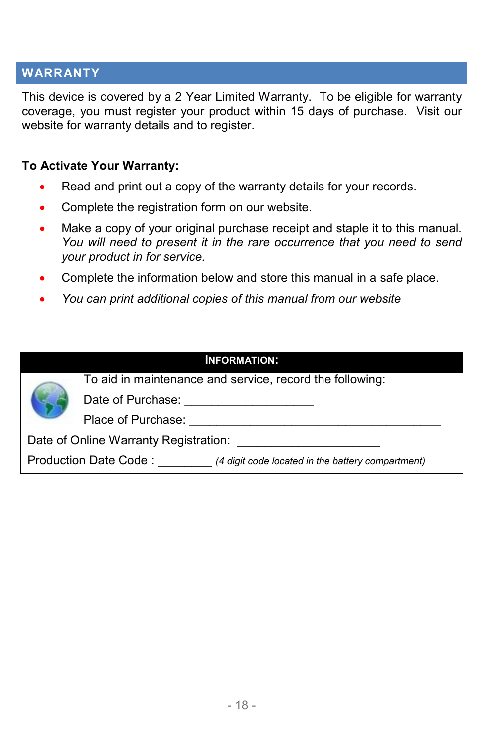#### **WARRANTY**

This device is covered by a 2 Year Limited Warranty. To be eligible for warranty coverage, you must register your product within 15 days of purchase. Visit our website for warranty details and to register.

#### **To Activate Your Warranty:**

- Read and print out a copy of the warranty details for your records.
- Complete the registration form on our website.
- Make a copy of your original purchase receipt and staple it to this manual*. You will need to present it in the rare occurrence that you need to send your product in for service.*
- Complete the information below and store this manual in a safe place.
- *You can print additional copies of this manual from our website*

| <b>INFORMATION:</b> |                                                                            |  |
|---------------------|----------------------------------------------------------------------------|--|
|                     | To aid in maintenance and service, record the following:                   |  |
|                     | Date of Purchase:                                                          |  |
|                     | Place of Purchase:                                                         |  |
|                     | Date of Online Warranty Registration:                                      |  |
|                     | Production Date Code:<br>(4 digit code located in the battery compartment) |  |